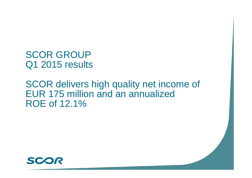SCOR GROUP Q1 2015 results

SCOR delivers high quality net income of EUR 175 million and an annualized ROE of 12.1%

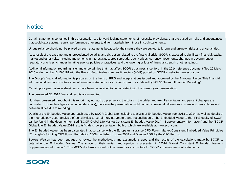#### **Notice**

Certain statements contained in this presentation are forward-looking statements, of necessity provisional, that are based on risks and uncertainties that could cause actual results, performance or events to differ materia

Undue reliance should not be placed on such statements because by their nature they are subject to known and unknown risks and uncertainties.

As a result of the extreme and unprecedented volatility and disruption related to the financial crisis, SCOR is exposed to significant financial, capital market and other risks, including movements in interest rates, credit spreads, equity prices, currency movements, changes in government or regulatory practices, changes in rating agency policies or practices, and the lowering or loss of financial strength or other ratings.

Additional information regarding risks and uncertainties that may affect SCOR's business is set forth in the 2014 reference document filed 20 March 2015 under number D.15-0181 with the French Autorité des marchés financiers (AMF) posted on SCOR's website www.scor.com.

The Group's financial information is prepared on the basis of IFRS and interpretations issued and approved by the European Union. This financial information does not constitute a set of financial statements for an interim period as defined by IAS 34 "Interim Financial Reporting".

Certain prior year balance sheet items have been reclassified to be consistent with the current year presentation.

The presented Q1 2015 financial results are unaudited.

Numbers presented throughout this report may not add up precisely to the totals in the tables and text. Percentages and percent changes are calculated on complete figures (including decimals); therefore the presentation might contain immaterial differences in sums and percentages and between slides due to rounding.

Details of the Embedded Value approach used by SCOR Global Life, including analysis of Embedded Value from 2013 to 2014, as well as details of the methodology used, analysis of sensitivities to certain key parameters and reconciliation of the Embedded Value to the IFRS equity of SCOR, can be found in the document entitled "SCOR Global Life Market Consistent Embedded Value 2014 – Supplementary Information" and the "SCOR Global Life Embedded Value 2014 results" slide show presentation, both of which are available at www.scor.com.

The Embedded Value has been calculated in accordance with the European Insurance CFO Forum Market Consistent Embedded Value Principles (Copyright© Stichting CFO Forum Foundation 2008) published in June 2008 and October 2009 by the CFO Forum.

Towers Watson has been engaged to review the methodology and assumptions used and the results of the calculations made by SCOR to determine the Embedded Values. The scope of their review and opinion is presented in "2014 Market Consistent Embedded Value – Supplementary Information". This MCEV disclosure should not be viewed as <sup>a</sup> substitute for SCOR's primary financial statements.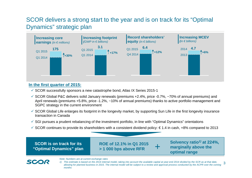#### SCOR delivers a strong start to the year and is on track for its "Optimal Dynamics" strategic plan



#### **In the first quarter of 2015:**

- $\checkmark$  SCOR successfully sponsors a new catastrophe bond, Atlas IX Series 2015-1
- $\checkmark$  SCOR Global P&C delivers solid January renewals (premiums +2.4%, price -0.7%, ~70% of annual premiums) and April renewals (premiums +5.8%, price -1.2%, ~10% of annual premiums) thanks to active portfolio management and SGPC strategy in the current environment
- $\checkmark$  SCOR Global Life enlarges its footprint in the longevity market, by supporting Sun Life in the first longevity insurance transaction in Canada
- $\checkmark$  SGI pursues a prudent rebalancing of the investment portfolio, in line with "Optimal Dynamics" orientations
- SCOR continues to provide its shareholders with a consistent dividend policy: € 1.4 in cash, +8% compared to 2013

**SCOR is on track for its "Optimal Dynamics" plan**

**SCO** 

**ROE of 12.1% in Q1 2015 > 1 000 bps above RFR**

**Solvency ratio***1)* **at 224%, marginally above the optimal range** 

*Note: Numbers are at current exchange rates*



+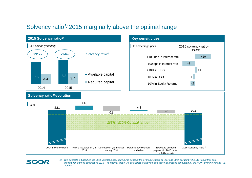#### Solvency ratio*1)* 2015 marginally above the optimal range

SCOR



4*allowing for planned business in 2015. The internal model will be subject to a review and approval process conducted by the ACPR over the coming 1) This estimate is based on the 2014 internal model, taking into account the available capital at year-end 2014 divided by the SCR as at that date, months*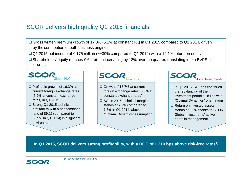#### SCOR delivers high quality Q1 2015 financials

- **□ Gross written premium growth of 17.0% (5.1% at constant FX) in Q1 2015 compared to Q1 2014, driven** by the contribution of both business engines
- Q1 2015 net income of  $€175$  million (~+30% compared to Q1 2014) with a 12.1% return on equity
- Shareholders' equity reaches € 6.4 billion increasing by 12% over the quarter, translating into a BVPS of € 34.35



- $\Box$  Profitable growth of 16.3% at current foreign exchange rates (5.2% at constant exchange rates) in Q1 2015
- **□** Strong Q1 2015 technical profitability with a net combined ratio of 89.1% compared to 88.9% in Q1 2014; in a light cat environment



- Growth of 17.7% at current foreign exchange rates (5.0% at constant exchange rates)
- **□ SGL's 2015 technical margin** stands at 7.2% compared to 7.3% in Q1 2014, above the "Optimal Dynamics" assumption



**In Q1 2015, SCOR delivers strong profitability, with a ROE of 1 210 bps above risk-free rates***1)* 

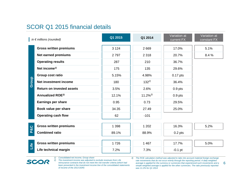#### SCOR Q1 2015 financial details

|                | in $\epsilon$ millions (rounded)     | Q1 2015 | Q1 2014      | Variation at<br>current FX | Variation at<br>constant FX |
|----------------|--------------------------------------|---------|--------------|----------------------------|-----------------------------|
|                | <b>Gross written premiums</b>        | 3 1 2 4 | 2 6 6 9      | 17.0%                      | 5.1%                        |
|                | <b>Net earned premiums</b>           | 2797    | 2 3 1 8      | 20.7%                      | 8.4 %                       |
|                | <b>Operating results</b>             | 287     | 210          | 36.7%                      |                             |
|                | Net income <sup><math>1</math></sup> | 175     | 135          | 29.6%                      |                             |
|                | Group cost ratio                     | 5.15%   | 4.98%        | $0.17$ pts                 |                             |
| Group          | Net investment income                | 180     | $132^{2}$    | 36.4%                      |                             |
|                | <b>Return on invested assets</b>     | 3.5%    | 2.6%         | $0.9$ pts                  |                             |
|                | Annualized ROE <sup>3)</sup>         | 12.1%   | $11.2\%^{3}$ | $0.9$ pts                  |                             |
|                | <b>Earnings per share</b>            | 0.95    | 0.73         | 29.5%                      |                             |
|                | Book value per share                 | 34.35   | 27.49        | 25.0%                      |                             |
|                | <b>Operating cash flow</b>           | 62      | $-101$       |                            |                             |
|                | <b>Gross written premiums</b>        | 1 3 9 8 | 1 2 0 2      | 16.3%                      | 5.2%                        |
| <b>P&amp;C</b> | <b>Combined ratio</b>                | 89.1%   | 88.9%        | $0.2$ pts                  |                             |
|                |                                      |         |              |                            |                             |
| Life           | <b>Gross written premiums</b>        | 1726    | 1 4 6 7      | 17.7%                      | 5.0%                        |
|                | Life technical margin                | 7.2%    | 7.3%         | $-0.1$ pt                  |                             |

*1) Consolidated net income, Group share*

SCOR

*2) The investment income was adjusted to exclude revenues from Life reinsurance contracts that do not meet the risk transfer criteria (which had been presented in the investment income line of the consolidated statements of income of the 2013 DDR)*

*3) The ROE calculation method was adjusted to take into account material foreign exchange rate movements that do not occur evenly through the reporting period. A daily weighted average is applied for the currency or currencies that experienced such movements and a simple weighted average is applied for the other currencies. The ratio previously reported was 11.2% for Q1 2014*

6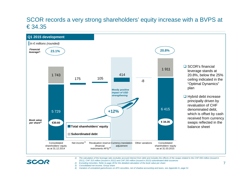#### SCOR records a very strong shareholders' equity increase with a BVPS at € 34.35



- *2) Excluding minorities. Refer to page 28 for the detailed calculation of the book value per share*
- *3) Consolidated net income, Group share*

SCOR

*4) Variation of unrealized gains/losses on AFS securities, net of shadow accounting and taxes, see Appendix G, page 51*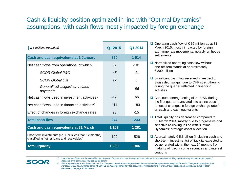#### Cash & liquidity position optimized in line with "Optimal Dynamics" assumptions, with cash flows mostly impacted by foreign exchange

| In $\epsilon$ millions (rounded)                                                                         | Q1 2015 | Q1 2014 |
|----------------------------------------------------------------------------------------------------------|---------|---------|
| <b>Cash and cash equivalents at 1 January</b>                                                            | 860     | 1 5 1 4 |
| Net cash flows from operations, of which:                                                                | 62      | $-101$  |
| <b>SCOR Global P&amp;C</b>                                                                               | 45      | $-11$   |
| <b>SCOR Global Life</b>                                                                                  | 17      | 6       |
| Generali US acquisition related<br>payments                                                              |         | $-96$   |
| Net cash flows used in investment activities $\frac{1}{2}$                                               | $-19$   | 66      |
| Net cash flows used in financing activities <sup>2)</sup>                                                | 111     | -183    |
| Effect of changes in foreign exchange rates                                                              | 93      | $-15$   |
| <b>Total cash flow</b>                                                                                   | 247     | $-233$  |
| <b>Cash and cash equivalents at 31 March</b>                                                             | 1 107   | 1 2 8 1 |
| Short-term investments (i.e. T-bills less than 12 months)<br>classified as "other loans and receivables" | 102     | 526     |
| <b>Total liquidity</b>                                                                                   | 1 209   | 1807    |

- Operating cash flow of € 62 million as at 31 March 2015, mostly impacted by foreign exchange rate movements, notably on hedge settlements
- $\Box$  Normalized operating cash flow without one-off item stands at approximately  $\epsilon$  200 million
- $\Box$  Significant cash flow received in respect of Swiss debt swaps, due to CHF strengthening during the quarter reflected in financing activities
- **□** Continued strengthening of the USD during the first quarter translated into an increase in "effect of changes in foreign exchange rates" on cash and cash equivalents
- **□** Total liquidity has decreased compared to 31 March 2014, mostly due to progressive and selective re-risking in line with "Optimal Dynamics" strategic asset allocation
- $□$  Approximately €5.3 billion (including cash and short-term investments) of liquidity expected to be generated within the next 24 months from maturity of fixed income securities and interest coupons



- 1) Investment activities are the acquisition and disposal of assets and other investments not included in cash equivalents. They predominantly include net purchases / *disposals of investments; see page 26 for details*
- *2) Financing activities are activities that result in changes in the size and composition of the contributed equity and borrowings of the entity. They predominantly include*  increases in capital, dividends paid by SCOR SE and cash generated by the issuance or reimbursement of financial debt debt and any associated swap or other *derivatives; see page 26 for details*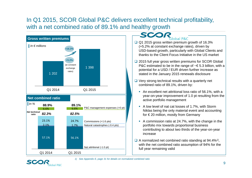#### In Q1 2015, SCOR Global P&C delivers excellent technical profitability, with a net combined ratio of 89.1% and healthy growth



#### SCO Global P&C

- **□ Q1 2015 gross written premium growth of 16.3%** (+5.2% at constant exchange rates), driven by USD-based growth, particularly with Global Clients and thanks to the Client Focus Initiative in the US market
- **□** 2015 full year gross written premiums for SCOR Global P&C estimated to be in the range of  $\sim \epsilon$  5.3 billion, with a potential for a USD / EUR driven further increase as stated in the January 2015 renewals disclosure
- $\Box$  Very strong technical results with a quarterly net combined ratio of 89.1%, driven by:
	- An excellent net attritional loss ratio of 56.1%, with a year-on-year improvement of 1.0 pt resulting from the active portfolio management
	- A low level of nat cat losses of 1.7%, with Storm Niklas being the only material event and accounting for € 20 million, mostly from Germany
	- A commission ratio at 24.7%, with the change in the portfolio mix towards proportional business contributing to about two thirds of the year-on-year increase
- A normalized net combined ratio standing at 94.4%*1),*  with the net combined ratio assumption of 94% for the full year remaining valid

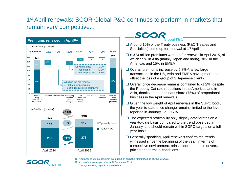#### 1<sup>st</sup> April renewals: SCOR Global P&C continues to perform in markets that remain very competitive...



#### SCOR Global P&C

- **■** Around 10% of the Treaty business (P&C Treaties and Specialties) come up for renewal at 1<sup>st</sup> April
- $\Box$  €374 million premiums were up for renewal in April 2015, of which 55% in Asia (mainly Japan and India), 30% in the Americas and 15% in EMEA
- **□** Overall premiums increase by 5.8%<sup>2)</sup>, a few large transactions in the US, Asia and EMEA having more than offset the loss of a group of 2 Japanese clients
- $\Box$  Overall price decrease remains contained to -1.2%, despite the Property Cat rate reductions in the Americas and in Asia, thanks to the dominant share (75%) of proportional business in the April renewals
- $\Box$  Given the low weight of April renewals in the SGPC book, the year-to-date price change remains limited to the level reported in January, i.e. -0.7%
- $\Box$  The expected profitability only slightly deteriorates on a year-to-date basis compared to the trend observed in January, and should remain within SGPC targets on a full year basis
- $\Box$  Generally speaking, April renewals confirm the trends witnessed since the beginning of the year, in terms of competitive environment, reinsurance purchase drivers, pricing and terms & conditions
- *1) All figures in this presentation are based on available information as at April 16 2015*



- *2) At constant exchange rates at 31 December 2014*
	- *See Appendix E, page 32 for definitions*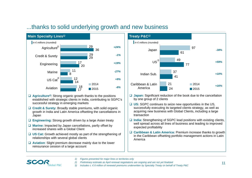



- **Agriculture***2)*: Strong organic growth thanks to the positions established with strategic clients in India, contributing to SGPC's successful strategy in emerging markets
- **Credit & Surety:** Broadly stable premiums, with solid organic growth in India and Latin America offsetting the cancellations in Japan
- **Engineering:** Strong growth driven by a large Asian treaty
- **Marine:** Impacted by Japan cancellations, partly offset by increased shares with a Global Client
- **US Cat:** Growth achieved mostly as part of the strengthening of relationships with several global clients
- **Aviation**: Slight premium decrease mainly due to the lower reinsurance cession of a large account



- **Japan:** Significant reduction of the book due to the cancellation by one group of 2 clients
- **US:** SGPC continues to seize new opportunities in the US, successfully executing its targeted clients strategy, as well as acquiring new business with Global Clients, including a large transaction
- **□ India:** Strengthening of SGPC lead positions with existing clients, well spread across all lines of business and leading to improved expected profitability
- **Caribbean & Latin America:** Premium increase thanks to growth in the Caribbean offsetting portfolio management actions in Latin America
- *1) Figures presented for major lines or territories only*
- *2) Preliminary estimate as April renewal negotiations are ongoing and are not yet finalized*
- *3) Includes c. € 6 million of renewed premiums underwritten by Specialty Treaty on behalf of Treaty P&C*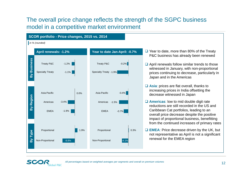#### The overall price change reflects the strength of the SGPC business model in a competitive market environment





**SCO**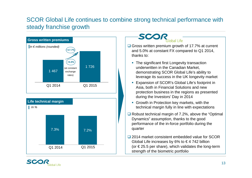#### SCOR Global Life continues to combine strong technical performance with steady franchise growth



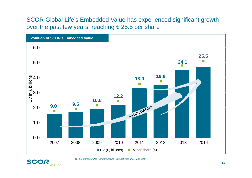#### SCOR Global Life's Embedded Value has experienced significant growth over the past few years, reaching  $\epsilon$  25.5 per share





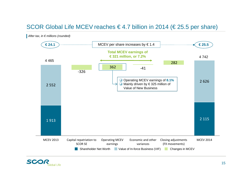#### SCOR Global Life MCEV reaches € 4.7 billion in 2014 (€ 25.5 per share)



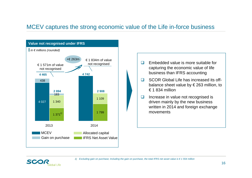#### MCEV captures the strong economic value of the Life in-force business



 $\Box$  Embedded value is more suitable for capturing the economic value of life business than IFRS accounting

 $\Box$  SCOR Global Life has increased its offbalance sheet value by € 263 million, to € 1 834 million

 $\Box$  Increase in value not recognised is driven mainly by the new business written in 2014 and foreign exchange movements

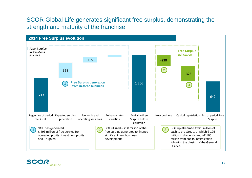#### SCOR Global Life generates significant free surplus, demonstrating the strength and maturity of the franchise



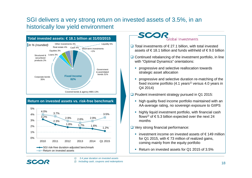#### SGI delivers a very strong return on invested assets of 3.5%, in an historically low yield environment





#### **SCOI** Global Investments

- **□** Total investments of  $€27.1$  billion, with total invested assets of €18.1 billion and funds withheld of €9.0 billion
- $\Box$  Continued rebalancing of the investment portfolio, in line with "Optimal Dynamics" orientations:
	- **progressive and selective reallocation towards** strategic asset allocation
	- **progressive and selective duration re-matching of the** fixed income portfolio (4.1 years*1)* versus 4.0 years in Q4 2014)
- **□ Prudent investment strategy pursued in Q1 2015:** 
	- high quality fixed income portfolio maintained with an AA-average rating, no sovereign exposure to GIIPS
	- highly liquid investment portfolio, with financial cash flows<sup>2)</sup> of  $\epsilon$  5.3 billion expected over the next 24 months
- **□** Very strong financial performance:
	- investment income on invested assets of  $€ 149$  million for Q1 2015, with  $\epsilon$  73 million of realized gains, coming mainly from the equity portfolio
	- Return on invested assets for Q1 2015 of 3.5%



- *1) 3.4 year duration on invested assets*
- *2) Including cash, coupons and redemptions*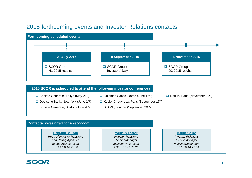#### 2015 forthcoming events and Investor Relations contacts



| <b>Bertrand Bougon</b>                  | <b>Margaux Lascar</b>              | <b>Marine Collas</b>               |
|-----------------------------------------|------------------------------------|------------------------------------|
| <b>Head of Investor Relations</b>       | <b>Investor Relations</b>          | <b>Investor Relations</b>          |
| and Rating Agencies<br>bbougon@scor.com | Senior Manager<br>mlascar@scor.com | Senior Manager<br>mcollas@scor.com |
| + 33 1 58 44 71 68                      | + 33 1 58 44 74 26                 | + 33 1 58 44 77 64                 |

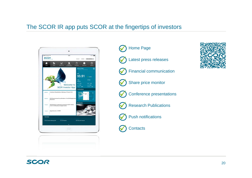#### The SCOR IR app puts SCOR at the fingertips of investors







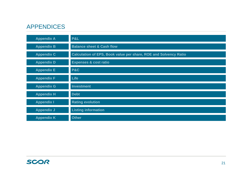#### APPENDICES

| <b>Appendix A</b> | P&L                                                              |
|-------------------|------------------------------------------------------------------|
| <b>Appendix B</b> | <b>Balance sheet &amp; Cash flow</b>                             |
| <b>Appendix C</b> | Calculation of EPS, Book value per share, ROE and Solvency Ratio |
| <b>Appendix D</b> | <b>Expenses &amp; cost ratio</b>                                 |
| <b>Appendix E</b> | <b>P&amp;C</b>                                                   |
| <b>Appendix F</b> | <b>Life</b>                                                      |
| <b>Appendix G</b> | Investment                                                       |
| <b>Appendix H</b> | <b>Debt</b>                                                      |
| <b>Appendix I</b> | <b>Rating evolution</b>                                          |
| <b>Appendix J</b> | <b>Listing information</b>                                       |
| <b>Appendix K</b> | <b>Other</b>                                                     |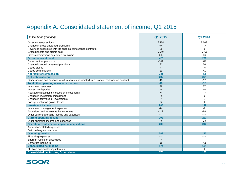# Appendix A: Consolidated statement of income, Q1 2015

| In $\epsilon$ millions (rounded)                                                        | Q1 2015        | Q1 2014        |
|-----------------------------------------------------------------------------------------|----------------|----------------|
| Gross written premiums                                                                  | 3 1 2 4        | 2 6 6 9        |
| Change in gross unearned premiums                                                       | $-56$          | $-105$         |
| Revenues associated with life financial reinsurance contracts                           | $\overline{2}$ | $\overline{1}$ |
| Gross benefits and claims paid                                                          | $-2104$        | $-1799$        |
| Gross commissions on earned premiums                                                    | $-540$         | $-470$         |
| <b>Gross technical result</b>                                                           | 426            | 296            |
| Ceded written premiums                                                                  | $-342$         | $-312$         |
| Change in ceded unearned premiums                                                       | 71             | 66             |
| Ceded claims                                                                            | 91             | 143            |
| Ceded commissions                                                                       | 39             | 41             |
| <b>Net result of retrocession</b>                                                       | $-141$         | $-62$          |
| <b>Net technical result</b>                                                             | 285            | 234            |
| Other income and expenses excl. revenues associated with financial reinsurance contract | $-18$          | $-12$          |
| Total other operating revenue / expenses                                                | $-18$          | $-12$          |
| Investment revenues                                                                     | 79             | 77             |
| Interest on deposits                                                                    | 45             | 45             |
| Realized capital gains / losses on investments                                          | 73             | 22             |
| Change in investment impairment                                                         | -8             | -6             |
| Change in fair value of investments                                                     | $\overline{7}$ | 5              |
| Foreign exchange gains / losses                                                         | 6              | $-1$           |
| <b>Investment income</b>                                                                | 202            | 142            |
| Investment management expenses                                                          | $-14$          | -9             |
| Acquisition and administrative expenses                                                 | $-117$         | $-98$          |
| Other current operating income and expenses                                             | $-42$          | $-34$          |
| <b>Current operating results</b>                                                        | 296            | 223            |
| Other operating income and expenses                                                     | $-9$           | $-13$          |
| Operating results before impact of acquisitions                                         | 287            | 210            |
| Acquisition-related expenses                                                            |                |                |
| Gain on bargain purchase                                                                |                |                |
| <b>Operating results</b>                                                                | 287            | 210            |
| Financing expenses                                                                      | $-43$          | $-34$          |
| Share in results of associates                                                          | $-2$           |                |
| Corporate income tax                                                                    | $-68$          | $-42$          |
| <b>Consolidated net income</b>                                                          | 174            | 134            |
| of which non-controlling interests                                                      | $-1$           | $-1$           |
| <b>Consolidated net income, Group share</b>                                             | 175            | 135            |

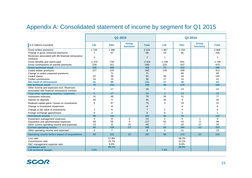#### Appendix A: Consolidated statement of income by segment for Q1 2015

|                                                                                            |                | Q1 2015        |                                  |                | Q1 2014                 |                |                           |              |
|--------------------------------------------------------------------------------------------|----------------|----------------|----------------------------------|----------------|-------------------------|----------------|---------------------------|--------------|
| In $\epsilon$ millions (rounded)                                                           | Life           | <b>P&amp;C</b> | <b>Group</b><br><b>functions</b> | <b>Total</b>   | Life                    | <b>P&amp;C</b> | <b>Group</b><br>functions | <b>Total</b> |
| Gross written premiums                                                                     | 1726           | 1 3 9 8        |                                  | 3 1 2 4        | 1467                    | 1202           |                           | 2 6 6 9      |
| Change in gross unearned premiums                                                          | 1              | $-57$          |                                  | $-56$          | $-14$                   | $-91$          |                           | $-105$       |
| Revenues associated with life financial reinsurance<br>contracts                           | $\overline{2}$ |                |                                  | $\overline{2}$ | -1                      |                |                           |              |
| Gross benefits and claims paid                                                             | $-1.374$       | $-730$         |                                  | $-2104$        | $-1.158$                | $-641$         |                           | $-1799$      |
| Gross commissions on earned premiums                                                       | $-229$         | $-311$         |                                  | $-540$         | $-223$                  | $-247$         |                           | $-470$       |
| <b>Gross technical result</b>                                                              | 126            | 300            |                                  | 426            | 73                      | 223            |                           | 296          |
| Ceded written premiums                                                                     | $-127$         | $-215$         |                                  | $-342$         | $-143$                  | $-169$         |                           | $-312$       |
| Change in ceded unearned premiums                                                          |                | 71             |                                  | 71             |                         | 66             |                           | 66           |
| Ceded claims                                                                               | 52             | 39             |                                  | 91             | 99                      | 44             |                           | 143          |
| Ceded commissions                                                                          | 24             | 15             |                                  | 39             | 27                      | 14             |                           | 41           |
| <b>Net result of retrocession</b>                                                          | $-51$          | $-90$          |                                  | $-141$         | $-17$                   | $-45$          |                           | $-62$        |
| <b>Net technical result</b>                                                                | 75             | 210            |                                  | 285            | 56                      | 178            |                           | 234          |
| Other income and expenses excl. Revenues<br>associated with financial reinsurance contract | $-1$           | $-17$          |                                  | $-18$          | $\mathbf{1}$            | $-13$          |                           | $-12$        |
| Total other operating revenue / expenses                                                   | $-1$           | $-17$          |                                  | $-18$          | $\overline{\mathbf{1}}$ | $-13$          |                           | $-12$        |
| Investment revenues                                                                        | 31             | 48             |                                  | 79             | 26                      | 51             |                           | 77           |
| Interest on deposits                                                                       | 40             | 5              |                                  | 45             | 40                      | 5              |                           | 45           |
| Realized capital gains / losses on investments                                             | 6              | 67             |                                  | 73             | 3                       | 19             |                           | 22           |
| Change in investment impairment                                                            |                | -8             |                                  | -8             |                         | -6             |                           | -6           |
| Change in fair value of investments                                                        | 1              | 6              |                                  | $\overline{7}$ | -1                      | $\overline{4}$ |                           | 5            |
| Foreign exchange gains/losses                                                              | 8              | $-2$           |                                  | 6              | -6                      | 5              |                           | $-1$         |
| <b>Investment income</b>                                                                   | 86             | 116            |                                  | 202            | 64                      | 78             |                           | 142          |
| Investment management expenses                                                             | -4             | -8             | $-2$                             | $-14$          | $-2$                    | -6             | -1                        | -9           |
| Acquisition and administrative expenses                                                    | $-58$          | $-55$          | $-4$                             | $-117$         | $-52$                   | $-43$          | $-3$                      | $-98$        |
| Other current operating income and expenses                                                | $-13$          | -8             | $-21$                            | $-42$          | $-7$                    | $-10$          | $-17$                     | $-34$        |
| <b>Current operating results</b>                                                           | 85             | 238            | $-27$                            | 296            | 60                      | 184            | $-21$                     | 223          |
| Other operating income and expenses                                                        | $-2$           | $-7$           |                                  | $-9$           | $-2$                    | $-11$          |                           | $-13$        |
| Operating results before impact of acquisitions                                            | 83             | 231            | $-27$                            | 287            | 58                      | 173            | $-21$                     | 210          |
| Loss ratio                                                                                 |                | 57.8%          |                                  |                |                         | 59.2%          |                           |              |
| Commissions ratio                                                                          |                | 24.7%          |                                  |                |                         | 23.1%          |                           |              |
| P&C management expense ratio                                                               |                | 6.6%           |                                  |                |                         | 6.6%           |                           |              |
| <b>Combined ratio</b>                                                                      |                | 89.1%          |                                  |                |                         | 88.9%          |                           |              |
| <b>Life technical margin</b>                                                               | 7.2%           |                |                                  |                | 7.3%                    |                |                           |              |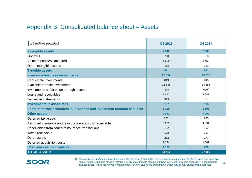#### Appendix B: Consolidated balance sheet – Assets

| In $\epsilon$ millions (rounded)                                            | Q1 2015 | Q4 2014          |
|-----------------------------------------------------------------------------|---------|------------------|
| Intangible assets                                                           | 2 5 4 0 | 2 3 8 5          |
| Goodwill                                                                    | 788     | 788              |
| Value of business acquired                                                  | 1 600   | 1 4 5 5          |
| Other intangible assets                                                     | 152     | 142              |
| <b>Tangible assets</b>                                                      | 551     | 542              |
| <b>Insurance business investments</b>                                       | 28 057  | 25 217           |
| Real estate investments                                                     | 849     | 845              |
| Available-for-sale investments                                              | 16 545  | 14 684           |
| Investments at fair value through income                                    | 878     | 690 <sup>1</sup> |
| Loans and receivables                                                       | 9412    | 8 9 4 7          |
| Derivative instruments                                                      | 373     | 51               |
| <b>Investments in associates</b>                                            | 107     | 108              |
| Share of retrocessionaires in insurance and investment contract liabilities | 1 2 2 8 | 1 1 9 5          |
| <b>Other assets</b>                                                         | 7821    | 7099             |
| Deferred tax assets                                                         | 806     | 825              |
| Assumed insurance and reinsurance accounts receivable                       | 5 2 3 9 | 4591             |
| Receivables from ceded reinsurance transactions                             | 182     | 192              |
| Taxes receivable                                                            | 138     | 127              |
| Other assets                                                                | 232     | 277              |
| Deferred acquisition costs                                                  | 1 2 2 4 | 1 0 8 7          |
| <b>Cash and cash equivalents</b>                                            | 1 1 0 7 | 860              |
| <b>TOTAL ASSETS</b>                                                         | 41 411  | 37 406           |



24*1) Previously reported figures have been amended to reflect € 240 million of assets under management for third parties held in certain mutual funds, accounted for as investments at fair value through income that were previously excluded from SCOR's consolidated balance sheet. These assets under management for third parties are eliminated in Other liabilities for consolidation purposes*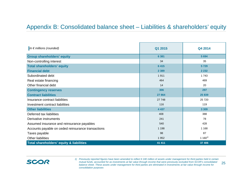#### Appendix B: Consolidated balance sheet – Liabilities & shareholders' equity

| In $\epsilon$ millions (rounded)                    | Q1 2015 | Q4 2014    |
|-----------------------------------------------------|---------|------------|
| <b>Group shareholders' equity</b>                   | 6 3 8 1 | 5 6 9 4    |
| Non-controlling interest                            | 34      | 35         |
| <b>Total shareholders' equity</b>                   | 6415    | 5729       |
| <b>Financial debt</b>                               | 2 3 8 9 | 2 2 3 2    |
| Subordinated debt                                   | 1911    | 1743       |
| Real estate financing                               | 464     | 469        |
| Other financial debt                                | 14      | 20         |
| <b>Contingency reserves</b>                         | 306     | 297        |
| <b>Contract liabilities</b>                         | 27 864  | 25 839     |
| Insurance contract liabilities                      | 27 748  | 25 7 20    |
| Investment contract liabilities                     | 116     | 119        |
| <b>Other liabilities</b>                            | 4 4 3 7 | 3 3 0 9    |
| Deferred tax liabilities                            | 408     | 388        |
| Derivative instruments                              | 241     | 78         |
| Assumed insurance and reinsurance payables          | 540     | 428        |
| Accounts payable on ceded reinsurance transactions  | 1 1 9 8 | 1 1 6 8    |
| Taxes payable                                       | 98      | 87         |
| <b>Other liabilities</b>                            | 1952    | $1160^{1}$ |
| <b>Total shareholders' equity &amp; liabilities</b> | 41 411  | 37 406     |

25*1) Previously reported figures have been amended to reflect € 240 million of assets under management for third parties held in certain mutual funds, accounted for as investments at fair value through income that were previously excluded from SCOR's consolidated balance sheet. These assets under management for third parties are eliminated in Investments at fair value through income for consolidation purposes*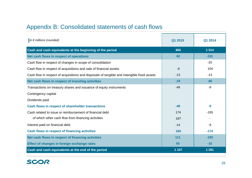# Appendix B: Consolidated statements of cash flows

| In $\epsilon$ millions (rounded)                                                           | Q1 2015 | Q1 2014 |
|--------------------------------------------------------------------------------------------|---------|---------|
| Cash and cash equivalents at the beginning of the period                                   | 860     | 1514    |
| Net cash flows in respect of operations                                                    | 62      | $-101$  |
| Cash flow in respect of changes in scope of consolidation                                  |         | $-25$   |
| Cash flow in respect of acquisitions and sale of financial assets                          | $-6$    | 104     |
| Cash flow in respect of acquisitions and disposals of tangible and intangible fixed assets | $-13$   | $-13$   |
| Net cash flows in respect of investing activities                                          | $-19$   | 66      |
| Transactions on treasury shares and issuance of equity instruments                         | $-49$   | $-9$    |
| Contingency capital                                                                        |         |         |
| Dividends paid                                                                             |         |         |
| Cash flows in respect of shareholder transactions                                          | $-49$   | -9      |
| Cash related to issue or reimbursement of financial debt                                   | 174     | $-165$  |
| of which other cash flow from financing activities                                         | 187     |         |
| Interest paid on financial debt                                                            | $-14$   | -9      |
| <b>Cash flows in respect of financing activities</b>                                       | 160     | $-174$  |
| Net cash flows in respect of financing activities                                          | 111     | $-183$  |
| Effect of changes in foreign exchange rates                                                | 93      | $-15$   |
| Cash and cash equivalents at the end of the period                                         | 1 107   | 1 2 8 1 |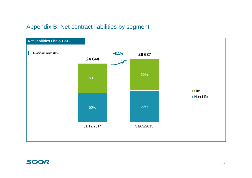#### Appendix B: Net contract liabilities by segment

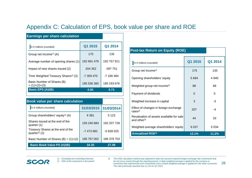#### Appendix C: Calculation of EPS, book value per share and ROE

| <b>Earnings per share calculation</b>             |             |             |
|---------------------------------------------------|-------------|-------------|
| In $\epsilon$ millions (rounded)                  | Q1 2015     | Q1 2014     |
| Group net income <sup><math>\eta</math></sup> (A) | 175         | 135         |
| Average number of opening shares (1)              | 192 691 479 | 192 757 911 |
| Impact of new shares issued (2)                   | 204 352     | $-397751$   |
| Time Weighted Treasury Shares <sup>2)</sup> (3)   | -7 359 470  | -7 166 484  |
| Basic Number of Shares (B)<br>$= (1)+(2)+(3)$     | 185 536 360 | 185 193 676 |
| <b>Basic EPS (A)/(B)</b>                          | 0.95        | 0.73        |

| <b>Book value per share calculation</b>                        |             |             |
|----------------------------------------------------------------|-------------|-------------|
| In $\epsilon$ millions (rounded)                               | 31/03/2015  | 31/03/2014  |
| Group shareholders' equity <sup>1)</sup> (A)                   | 6 3 8 1     | 5 1 2 3     |
| Shares issued at the end of the<br>quarter (1)                 | 193 240 684 | 192 207 728 |
| Treasury Shares at the end of the<br>quarter <sup>2)</sup> (2) | -7473682    | $-5828025$  |
| Basic Number of Shares $(B) = (1)+(2)$                         | 185 767 002 | 186 379 703 |
| <b>Basic Book Value PS (A)/(B)</b>                             | 34.35       | 27.49       |

| <b>Post-tax Return on Equity (ROE)</b>                              |          |         |
|---------------------------------------------------------------------|----------|---------|
| In $\epsilon$ millions (rounded)                                    | Q1 2015  | Q1 2014 |
| Group net income <sup>1)</sup>                                      | 175      | 135     |
| Opening shareholders' equity                                        | 5 6 9 4  | 4 9 4 0 |
| Weighted group net income <sup>2)</sup>                             | 88       | 68      |
| Payment of dividends                                                | $\Omega$ | 0       |
| Weighted increase in capital                                        | 3        | -3      |
| Effect of changes in foreign exchange<br>rates $^{2)}$              | 207      | -4      |
| Revaluation of assets available for sale<br>and other <sup>2)</sup> | 44       | 33      |
| Weighted average shareholders' equity                               | 6 0 3 7  | 5 0 3 4 |
| <b>Annualized ROE3)</b>                                             | 12.1%    | 11.2%   |

#### SCOR

28 *3) The ROE calculation method was adjusted to take into account material foreign exchange rate movements that do not occur evenly through the reporting period. A daily weighted average is applied for the currency or currencies that experienced such movements and a simple weighted average is applied for the other currencies. The ratio previously reported was 11.2% for Q1 2014*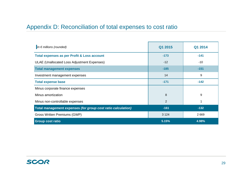# Appendix D: Reconciliation of total expenses to cost ratio

| In $\epsilon$ millions (rounded)                             | Q1 2015 | Q1 2014 |
|--------------------------------------------------------------|---------|---------|
| <b>Total expenses as per Profit &amp; Loss account</b>       | $-173$  | $-141$  |
| ULAE (Unallocated Loss Adjustment Expenses)                  | $-12$   | $-10$   |
| <b>Total management expenses</b>                             | $-185$  | $-151$  |
| Investment management expenses                               | 14      | 9       |
| <b>Total expense base</b>                                    | $-171$  | $-142$  |
| Minus corporate finance expenses                             |         |         |
| Minus amortization                                           | 8       | 9       |
| Minus non-controllable expenses                              | 2       | 1       |
| Total management expenses (for group cost ratio calculation) | $-161$  | $-132$  |
| Gross Written Premiums (GWP)                                 | 3 1 2 4 | 2669    |
| <b>Group cost ratio</b>                                      | 5.15%   | 4.98%   |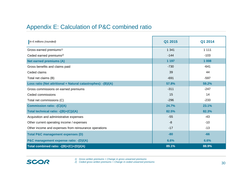#### Appendix E: Calculation of P&C combined ratio

| In $\epsilon$ millions (rounded)                               | Q1 2015 | Q1 2014 |
|----------------------------------------------------------------|---------|---------|
| Gross earned premiums <sup>1)</sup>                            | 1 3 4 1 | 1 1 1 1 |
| Ceded earned premiums <sup>2)</sup>                            | $-144$  | $-103$  |
| <b>Net earned premiums (A)</b>                                 | 1 1 9 7 | 1 0 0 8 |
| Gross benefits and claims paid                                 | $-730$  | $-641$  |
| Ceded claims                                                   | 39      | 44      |
| Total net claims (B)                                           | $-691$  | $-597$  |
| Loss ratio (Net attritional + Natural catastrophes): - (B)/(A) | 57.8%   | 59.2%   |
| Gross commissions on earned premiums                           | $-311$  | $-247$  |
| Ceded commissions                                              | 15      | 14      |
| Total net commissions (C)                                      | $-296$  | $-233$  |
| <b>Commission ratio: - (C)/(A)</b>                             | 24.7%   | 23.1%   |
| Total technical ratio: -((B)+(C))/(A)                          | 82.5%   | 82.3%   |
| Acquisition and administrative expenses                        | $-55$   | $-43$   |
| Other current operating income / expenses                      | -8      | $-10$   |
| Other income and expenses from reinsurance operations          | $-17$   | $-13$   |
| <b>Total P&amp;C management expenses (D)</b>                   | $-80$   | $-66$   |
| P&C management expense ratio: - (D)/(A)                        | 6.6%    | 6.6%    |
| Total combined ratio: -((B)+(C)+(D))/(A)                       | 89.1%   | 88.9%   |

*2) Ceded gross written premiums + Change in ceded unearned premiums*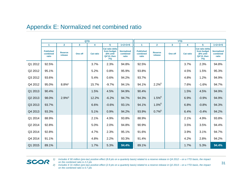#### Appendix E: Normalized net combined ratio

|         |                                       |                           | <b>QTD</b>     |                  |                                                                         |                                        |                                       |                           | <b>YTD</b>   |                  |                                                                  |                                        |
|---------|---------------------------------------|---------------------------|----------------|------------------|-------------------------------------------------------------------------|----------------------------------------|---------------------------------------|---------------------------|--------------|------------------|------------------------------------------------------------------|----------------------------------------|
|         | $\mathbf{1}$                          | $\overline{2}$            | 3 <sup>1</sup> | 4                | 5                                                                       | $1+2+3+5$                              | $\mathbf{1}$                          | 2 <sup>1</sup>            | $\mathbf{3}$ | 4                | 5                                                                | $1+2+3+5$                              |
|         | <b>Published</b><br>combined<br>ratio | <b>Reserve</b><br>release | One off        | <b>Cat ratio</b> | <b>Cat ratio delta</b><br>from budget<br>(6% until<br>Q4'13, then<br>7% | <b>Normalized</b><br>combined<br>ratio | <b>Published</b><br>combined<br>ratio | <b>Reserve</b><br>release | One off      | <b>Cat ratio</b> | Cat ratio delta<br>from budget<br>(6% until<br>Q4'13, then<br>7% | <b>Normalized</b><br>combined<br>ratio |
| Q1 2012 | 92.5%                                 |                           |                | 3.7%             | 2.3%                                                                    | 94.8%                                  | 92.5%                                 |                           |              | 3.7%             | 2.3%                                                             | 94.8%                                  |
| Q2 2012 | 95.1%                                 |                           |                | 5.2%             | 0.8%                                                                    | 95.9%                                  | 93.8%                                 |                           |              | 4.5%             | 1.5%                                                             | 95.3%                                  |
| Q3 2012 | 93.6%                                 |                           |                | 5.4%             | 0.6%                                                                    | 94.2%                                  | 93.7%                                 |                           |              | 4.8%             | 1.2%                                                             | 94.9%                                  |
| Q4 2012 | 95.0%                                 | $8.8\%$ <sup>1)</sup>     |                | 15.7%            | $-9.7%$                                                                 | 94.1%                                  | 94.1%                                 | $2.2\%^{1}$               |              | 7.6%             | $-1.6%$                                                          | 94.7%                                  |
| Q1 2013 | 90.4%                                 |                           |                | 1.5%             | 4.5%                                                                    | 94.9%                                  | 90.4%                                 |                           |              | 1.5%             | 4.5%                                                             | 94.9%                                  |
| Q2 2013 | 98.0%                                 | $2.9\%^{2)}$              |                | 12.2%            | $-6.2%$                                                                 | 94.7%                                  | 94.3%                                 | $1.5\%^{2)}$              |              | 6.9%             | $-0.9%$                                                          | 94.9%                                  |
| Q3 2013 | 93.7%                                 |                           |                | 6.6%             | $-0.6%$                                                                 | 93.1%                                  | 94.1%                                 | $1.0\%^{2)}$              |              | 6.8%             | $-0.8%$                                                          | 94.3%                                  |
| Q4 2013 | 93.3%                                 |                           |                | 5.1%             | 0.9%                                                                    | 94.2%                                  | 93.9%                                 | $0.7\%^{2)}$              |              | 6.4%             | $-0.4%$                                                          | 94.2%                                  |
| Q1 2014 | 88.9%                                 |                           |                | 2.1%             | 4.9%                                                                    | 93.8%                                  | 88.9%                                 |                           |              | 2.1%             | 4.9%                                                             | 93.8%                                  |
| Q2 2014 | 92.8%                                 |                           |                | 5.0%             | 2.0%                                                                    | 94.8%                                  | 90.9%                                 |                           |              | 3.5%             | 3.5%                                                             | 94.4%                                  |
| Q3 2014 | 92.8%                                 |                           |                | 4.7%             | 2.3%                                                                    | 95.1%                                  | 91.6%                                 |                           |              | 3.9%             | 3.1%                                                             | 94.7%                                  |
| Q4 2014 | 91.1%                                 |                           |                | 4.8%             | 2.2%                                                                    | 93.3%                                  | 91.4%                                 |                           |              | 4.2%             | 2.8%                                                             | 94.2%                                  |
| Q1 2015 | 89.1%                                 |                           |                | 1.7%             | 5.3%                                                                    | 94.4%                                  | 89.1%                                 |                           |              | 1.7%             | 5.3%                                                             | 94.4%                                  |



*1) Includes € 90 million (pre-tax) positive effect (8.8 pts on a quarterly basis) related to a reserve release in Q4 2012 – on a YTD basis, the impact on the combined ratio is 2.2 pts*

*2) Includes € 31 million (pre-tax) positive effect (2.9 pts on a quarterly basis) related to a reserve release in Q2 2013 – on a YTD basis, the impact on the combined ratio is 0.7 pts*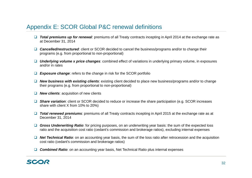#### Appendix E: SCOR Global P&C renewal definitions

- **Total premiums up for renewal**: premiums of all Treaty contracts incepting in April 2014 at the exchange rate as at December 31, 2014
- **□ Cancelled/restructured**: client or SCOR decided to cancel the business/programs and/or to change their programs (e.g. from proportional to non-proportional)
- *Underlying volume x price changes*: combined effect of variations in underlying primary volume, in exposures and/or in rates
- *Exposure change*: refers to the change in risk for the SCOR portfolio
- *New business with existing clients*: existing client decided to place new business/programs and/or to change their programs (e.g. from proportional to non-proportional)
- *New clients*: acquisition of new clients
- **□ Share variation**: client or SCOR decided to reduce or increase the share participation (e.g. SCOR increases share with client X from 10% to 20%)
- **Total renewed premiums**: premiums of all Treaty contracts incepting in April 2015 at the exchange rate as at December 31, 2014
- **□ Gross Underwriting Ratio**: for pricing purposes, on an underwriting year basis: the sum of the expected loss ratio and the acquisition cost ratio (cedant's commission and brokerage ratios), excluding internal expenses
- **Net Technical Ratio**: on an accounting year basis, the sum of the loss ratio after retrocession and the acquisition cost ratio (cedant's commission and brokerage ratios)
- *Combined Ratio*: on an accounting year basis, Net Technical Ratio plus internal expenses

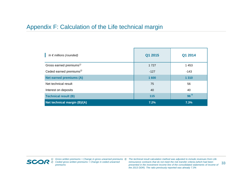#### Appendix F: Calculation of the Life technical margin

| In $\epsilon$ millions (rounded)                | Q1 2015 | Q1 2014  |
|-------------------------------------------------|---------|----------|
| Gross earned premiums <sup><math>1</math></sup> | 1727    | 1453     |
| Ceded earned premiums <sup>2)</sup>             | $-127$  | $-143$   |
| <b>Net earned premiums (A)</b>                  | 1600    | 1 3 1 0  |
| Net technical result                            | 75      | 56       |
| Interest on deposits                            | 40      | 40       |
| <b>Technical result (B)</b>                     | 115     | $96^{3}$ |
| Net technical margin (B)/(A)                    | 7.2%    | 7.3%     |

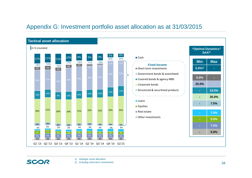#### Appendix G: Investment portfolio asset allocation as at 31/03/2015



SCOR

- *1) Strategic asset allocation*
- *2) Including short-term investments*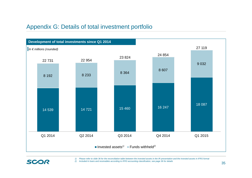#### Appendix G: Details of total investment portfolio



*1) Please refer to slide 36 for the reconciliation table between the invested assets in the IR presentation and the invested assets in IFRS format*



*2) Included in loans and receivables according to IFRS accounting classification, see page 36 for details*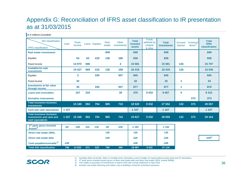#### Appendix G: Reconciliation of IFRS asset classification to IR presentation as at 31/03/2015

#### *In € millions (rounded)*

| <b>SGI</b> classification<br><b>IFRS</b> classification                         | Cash   | Fixed<br>income |        | Loans Equities | Real<br>estate | Other<br>investments | <b>Total</b><br>invested<br>assets | <b>Funds</b><br>withheld by<br>cedants<br>& other | <b>Total</b><br><b>investments</b> | <b>Accrued</b><br>interest | <b>Technical</b><br>items $\frac{1}{2}$ | <b>Total</b><br><b>IFRS</b><br>classification |
|---------------------------------------------------------------------------------|--------|-----------------|--------|----------------|----------------|----------------------|------------------------------------|---------------------------------------------------|------------------------------------|----------------------------|-----------------------------------------|-----------------------------------------------|
| <b>Real estate investments</b>                                                  |        |                 |        |                | 849            |                      | 849                                |                                                   | 849                                |                            |                                         | 849                                           |
| Equities                                                                        |        | 54              | 63     | 419            | 136            | 166                  | 838                                |                                                   | 838                                |                            |                                         | 838                                           |
| Fixed income                                                                    |        | 14 973          | 606    |                |                | $\mathbf{2}$         | 15 5 81                            |                                                   | 15 5 81                            | 126                        |                                         | 15707                                         |
| <b>Available-for-sale</b><br>investments                                        |        | 15 027          | 669    | 419            | 136            | 168                  | 16 419                             |                                                   | 16 419                             | 126                        |                                         | 16 545                                        |
| Equities                                                                        |        | 3               |        | 335            |                | 507                  | 845                                |                                                   | 845                                |                            |                                         | 845                                           |
| Fixed income                                                                    |        | 32              |        |                |                |                      | 32                                 |                                                   | 32                                 | 1                          |                                         | 33                                            |
| <b>Investments at fair value</b><br>through income                              |        | 35              |        | 335            |                | 507                  | 877                                |                                                   | 877                                | 1                          |                                         | 878                                           |
| <b>Loans and receivables</b>                                                    |        | 107             | 233    |                |                | 35                   | 375                                | 9032                                              | 9 4 0 7                            | 5                          |                                         | 9412                                          |
| <b>Derivative instruments</b>                                                   |        |                 |        |                |                |                      |                                    |                                                   |                                    |                            | 373                                     | 373                                           |
| <b>Total insurance business</b><br><b>investments</b>                           |        | 15 169          | 902    | 754            | 985            | 710                  | 18 5 20                            | 9032                                              | 27 552                             | 132                        | 373                                     | 28 057                                        |
| <b>Cash and cash equivalents</b>                                                | 1 107  |                 |        |                |                |                      | 1 107                              |                                                   | 1 107                              |                            |                                         | 1 107                                         |
| <b>Total insurance business</b><br>investments and cash and<br>cash equivalents |        | 1 107 15 169    | 902    | 754            | 985            | 710                  | 19 627                             | 9032                                              | 28 659                             | 132                        | 373                                     | 29 164                                        |
| 3 <sup>rd</sup> party gross invested                                            |        |                 |        |                |                |                      |                                    |                                                   |                                    |                            |                                         |                                               |
| Assets <sup>2)</sup>                                                            | $-60$  | $-349$          | $-331$ | $-132$         | $-90$          | $-230$               | $-1192$                            |                                                   | $-1192$                            |                            |                                         |                                               |
| <b>Direct real estate URGL</b>                                                  |        |                 |        |                | 130            |                      | 130                                |                                                   | 130                                |                            |                                         |                                               |
| Direct real estate debt                                                         |        |                 |        |                | $-229$         |                      | $-229$                             |                                                   | $-229$                             |                            |                                         | $-229^{4)}$                                   |
| Cash payable/receivable 3)                                                      | $-249$ |                 |        |                |                |                      | $-249$                             |                                                   | $-249$                             |                            |                                         |                                               |
| <b>Total SGI classification</b>                                                 | 798    | 14 8 20         | 571    | 622            | 796            | 480                  | 18 087                             | 9 0 3 2                                           | 27 119                             |                            |                                         |                                               |

*1) Including Atlas cat bonds, Atlas IX mortality bond, derivatives used to hedge US equity-linked annuity book and FX derivatives*

*3) This relates to purchase of investments in March 2015 with normal settlement in April 2015 4) Includes real estate financing and relates only to buildings owned for investment purposes*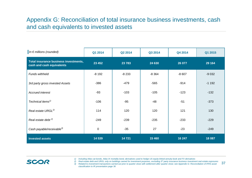#### Appendix G: Reconciliation of total insurance business investments, cash and cash equivalents to invested assets

| In $\epsilon$ millions (rounded)                                   | Q1 2014 | Q2 2014 | Q3 2014 | Q4 2014 | Q1 2015 |
|--------------------------------------------------------------------|---------|---------|---------|---------|---------|
| Total insurance business investments,<br>cash and cash equivalents | 23 4 52 | 23 7 83 | 24 630  | 26 077  | 29 164  |
| Funds withheld                                                     | $-8192$ | $-8233$ | $-8364$ | $-8607$ | $-9032$ |
| 3rd party gross invested Assets                                    | $-386$  | $-479$  | $-565$  | $-914$  | $-1192$ |
| Accrued interest                                                   | $-93$   | $-103$  | $-105$  | $-123$  | $-132$  |
| Technical items <sup>1)</sup>                                      | $-106$  | $-95$   | -48     | $-51$   | $-373$  |
| Real estate URGL <sup>2)</sup>                                     | 114     | 120     | 120     | 121     | 130     |
| Real estate debt <sup>2)</sup>                                     | $-249$  | $-239$  | $-235$  | $-233$  | $-229$  |
| Cash payable/receivable <sup>3)</sup>                              | 0       | $-35$   | 27      | $-23$   | $-249$  |
| <b>Invested assets</b>                                             | 14 5 39 | 14721   | 15 4 60 | 16 247  | 18 087  |

- *1) Including Atlas cat bonds, Atlas IX mortality bond, derivatives used to hedge US equity-linked annuity book and FX derivatives*
- 2) Real estate debt and URGL only on buildings owned for investment purposes, excluding 3<sup>rd</sup> party insurance business investment real estate exposures

37 *3) Related to investment transactions carried out prior to quarter close with settlement after quarter close; see Appendix G: Reconciliation of IFRS asset classification to IR presentation page 36*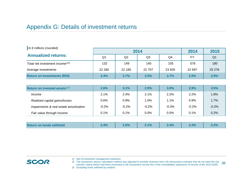#### Appendix G: Details of investment returns

| In $\epsilon$ millions (rounded)            |                |                | 2014           |         | 2014      | 2015           |
|---------------------------------------------|----------------|----------------|----------------|---------|-----------|----------------|
| <b>Annualized returns:</b>                  | Q <sub>1</sub> | Q <sub>2</sub> | Q <sub>3</sub> | Q4      | <b>FY</b> | Q <sub>1</sub> |
| Total net investment income <sup>1)2)</sup> | 132            | 149            | 140            | 155     | 576       | 180            |
| Average investments                         | 22 260         | 22 185         | 22 707         | 23 635  | 22 697    | 25 27 6        |
| <b>Return on Investments (ROI)</b>          | 2.4%           | 2.7%           | 2.5%           | 2.7%    | 2.5%      | 2.9%           |
|                                             |                |                |                |         |           |                |
| Return on invested assets $^{2/3}$          | 2.6%           | 3.1%           | 2.9%           | 3.0%    | 2.9%      | 3.5%           |
| <i>Income</i>                               | 2.1%           | 2.4%           | 2.1%           | 2.2%    | 2.2%      | 1.8%           |
| Realized capital gains/losses               | 0.6%           | 0.9%           | 1.0%           | 1.1%    | 0.9%      | 1.7%           |
| Impairments & real estate amortization      | $-0.2%$        | $-0.2%$        | $-0.2\%$       | $-0.3%$ | $-0.2%$   | $-0.2%$        |
| Fair value through income                   | 0.1%           | 0.1%           | 0.0%           | 0.0%    | 0.1%      | 0.2%           |

| <b>Return on funds withheld</b> | 2.4% | $2.6\%$ | 2.1% | 2.4% | 2.4% | ∕ חר |
|---------------------------------|------|---------|------|------|------|------|
|---------------------------------|------|---------|------|------|------|------|

*1) Net of investment management expenses*

38 *2) The investment returns calculation method was adjusted to exclude revenues from Life reinsurance contracts that do not meet the risk transfer criteria (which had been presented in the investment income line of the consolidated statements of income of the 2013 DDR)*

*<sup>3)</sup> Excluding funds withheld by cedants*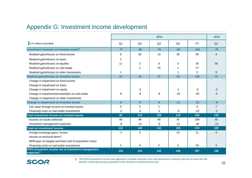#### Appendix G: Investment income development

|                                                                                        |                |                | 2014 |                |           | 2015           |
|----------------------------------------------------------------------------------------|----------------|----------------|------|----------------|-----------|----------------|
| In $\epsilon$ millions (rounded)                                                       | Q <sub>1</sub> | Q2             | Q3   | Q <sub>4</sub> | <b>FY</b> | Q <sub>1</sub> |
| Investment revenues on invested assets $1$                                             | 77             | 88             | 79   | 90             | 334       | 79             |
| Realized gains/losses on fixed income                                                  | 9              | 30             | 13   | 36             | 89        | 9              |
| Realized gains/losses on loans                                                         | 1              |                |      |                |           |                |
| Realized gains/losses on equities                                                      | 11             | 2              | 9    | 5              | 26        | 56             |
| Realized gains/losses on real estate                                                   |                |                | 15   |                | 17        |                |
| Realized gains/losses on other investments                                             | 1              |                |      |                | 3         | 8              |
| <b>Realized gains/losses on invested assets</b>                                        | 22             | 33             | 37   | 43             | 135       | 73             |
| Change in impairment on fixed income<br>Change in impairment on loans                  |                |                |      |                |           |                |
| Change in impairment on equity                                                         |                | -2             |      | -1             | $-3$      | $-3$           |
| Change in impairment/amortization on real estate                                       | -6             | -6             | -6   | $-10$          | $-28$     | -5             |
| Change in impairment on other investments                                              |                |                |      |                |           |                |
| <b>Change in impairment on invested assets</b>                                         | $-6$           | $-8$           | $-6$ | $-11$          | $-31$     | $-8$           |
| Fair value through income on invested assets                                           | 5              | $\overline{2}$ | 1    |                | 8         | $\overline{7}$ |
| Financing costs on real estate investments                                             | $-2$           | -3             | $-2$ | $-3$           | $-10$     | $-2$           |
| Total investment income on invested assets                                             | 96             | 112            | 109  | 119            | 436       | 149            |
| Income on funds withheld                                                               | 45             | 48             | 40   | 47             | 180       | 45             |
| Investment management expenses                                                         | $-9$           | $-11$          | -9   | $-11$          | $-40$     | $-14$          |
| <b>Total net investment income</b>                                                     | 132            | 149            | 140  | 155            | 576       | 180            |
| Foreign exchange gains / losses                                                        | $-1$           | 2              |      | 10             | 11        | 6              |
| Income on technical items <sup>1)</sup>                                                |                |                |      |                |           |                |
| MRM gain on bargain purchase (net of acquisition costs)                                |                |                |      |                |           |                |
| Financing costs on real estate investments                                             | 2              | 3              | 2    | 3              | 10        | 2              |
| <b>IFRS investment income net of investment management</b><br>$expenses$ <sup>1)</sup> | 133            | 154            | 142  | 168            | 597       | 188            |



*1) The IFRS investment income was adjusted to exclude revenues from Life reinsurance contracts that do not meet the risk transfer criteria (previously presented in the Income on technical items line)*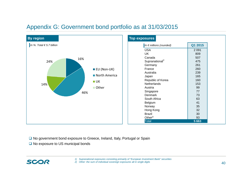#### Appendix G: Government bond portfolio as at 31/03/2015



**□ No government bond exposure to Greece, Ireland, Italy, Portugal or Spain** 

**□ No exposure to US municipal bonds** 

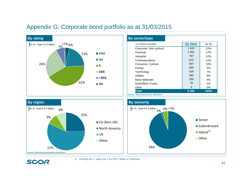# Appendix G: Corporate bond portfolio as at 31/03/2015



| In $\epsilon$ millions (rounded) | Q1 2015 | In $%$ |
|----------------------------------|---------|--------|
|                                  |         |        |
| Consumer, Non-cyclical           | 1415    | 22%    |
| Financial                        | 1 0 9 1 | 17%    |
| Industrial                       | 767     | 12%    |
| Communications                   | 674     | 11%    |
| Consumer, Cyclical               | 607     | 10%    |
| Energy                           | 555     | 9%     |
| Technology                       | 429     | 7%     |
| <b>Utilities</b>                 | 382     | 6%     |
| <b>Basic Materials</b>           | 295     | 5%     |
| Diversified / Funds              | 78      | 1%     |
| Other                            | 4       | $0\%$  |
| Total                            | 6 2 9 8 | 100%   |







*1) Including tier 1, upper tier 2 and tier 2 debts for financials*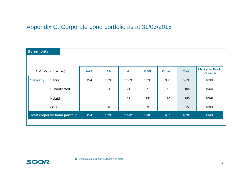#### Appendix G: Corporate bond portfolio as at 31/03/2015

| <b>By seniority</b>                   |            |         |                |            |                     |              |                                  |
|---------------------------------------|------------|---------|----------------|------------|---------------------|--------------|----------------------------------|
|                                       |            |         |                |            |                     |              |                                  |
| In $\epsilon$ millions (rounded)      | <b>AAA</b> | AA      | A              | <b>BBB</b> | Other <sup>1)</sup> | <b>Total</b> | <b>Market to Book</b><br>Value % |
| <b>Seniority</b><br>Senior            | 224        | 1 2 9 0 | 2629           | 1 3 9 5    | 358                 | 5895         | 103%                             |
| Subordinated                          |            | 4       | 21             | 77         | 6                   | 108          | 106%                             |
| Hybrid                                |            |         | 19             | 131        | 130                 | 280          | 106%                             |
| Other                                 |            | $\,6$   | $\mathfrak{B}$ | 3          | 3                   | 15           | 100%                             |
| <b>Total corporate bond portfolio</b> | 224        | 1 2 9 9 | 2672           | 1 606      | 497                 | 6 2 9 8      | 104%                             |
|                                       |            |         |                |            |                     |              |                                  |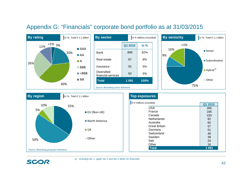#### Appendix G: "Financials" corporate bond portfolio as at 31/03/2015









**SCOR**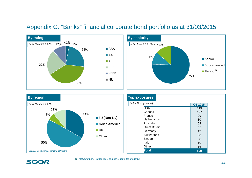#### Appendix G: "Banks" financial corporate bond portfolio as at 31/03/2015





| <b>By region</b>                                  |                                             | <b>Top exposures</b>                                                                                                   |                                               |
|---------------------------------------------------|---------------------------------------------|------------------------------------------------------------------------------------------------------------------------|-----------------------------------------------|
| In %. Total $\in$ 0.9 billion<br>11%<br>33%<br>6% | $\blacksquare$ EU (Non-UK)<br>North America | In $\epsilon$ millions (rounded)<br><b>USA</b><br>Canada<br>France<br>Netherlands<br>Australia<br><b>Great Britain</b> | Q1 2015<br>319<br>127<br>99<br>80<br>59<br>55 |
| 50%<br>Source: Bloomberg geography definitions    | $\blacksquare$ UK<br>Other                  | Germany<br>Switzerland<br>Sweden<br>Italy<br>Other<br><b>Total</b>                                                     | 49<br>38<br>38<br>19<br>16<br>899             |

SCOR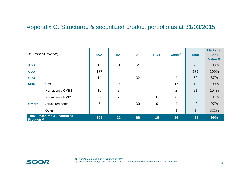# Appendix G: Structured & securitized product portfolio as at 31/03/2015

|                               | In $\epsilon$ millions (rounded)          | <b>AAA</b> | AA             | $\mathbf{A}$   | <b>BBB</b>     | Other <sup><math>1</math></sup> | <b>Total</b> | <b>Market to</b><br><b>Book</b><br>Value % |
|-------------------------------|-------------------------------------------|------------|----------------|----------------|----------------|---------------------------------|--------------|--------------------------------------------|
| <b>ABS</b>                    |                                           | 13         | 11             | $\overline{2}$ |                |                                 | 26           | 103%                                       |
| <b>CLO</b>                    |                                           | 187        |                |                |                |                                 | 187          | 100%                                       |
| <b>CDO</b>                    |                                           | 14         |                | 32             |                | 4                               | 50           | 87%                                        |
| <b>MBS</b>                    | <b>CMO</b>                                |            | $\overline{0}$ | $\mathbf{1}$   | 1              | 17                              | 19           | 100%                                       |
|                               | Non-agency CMBS                           | 16         | 3              |                |                | $\overline{2}$                  | 21           | 104%                                       |
|                               | Non-agency RMBS                           | 67         | 7              | 1              | $\overline{0}$ | 8                               | 83           | 101%                                       |
| <b>Others</b>                 | Structured notes                          | 7          |                | 30             | 9              | 4                               | 49           | 97%                                        |
|                               | Other                                     |            |                |                |                | 1                               | $\mathbf{1}$ | 321%                                       |
| <b>Products</b> <sup>2)</sup> | <b>Total Structured &amp; Securitized</b> | 303        | 22             | 66             | 10             | 36                              | 436          | 99%                                        |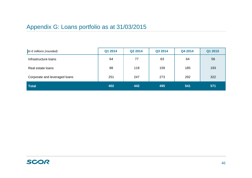# Appendix G: Loans portfolio as at 31/03/2015

| In $\epsilon$ millions (rounded) | Q1 2014 | Q2 2014 | Q3 2014 | Q4 2014 | Q1 2015 |
|----------------------------------|---------|---------|---------|---------|---------|
| Infrastructure loans             | 64      | 77      | 63      | 64      | 56      |
| Real estate loans                | 88      | 118     | 159     | 185     | 193     |
| Corporate and leveraged loans    | 251     | 247     | 273     | 292     | 322     |
| <b>Total</b>                     | 402     | 442     | 495     | 541     | 571     |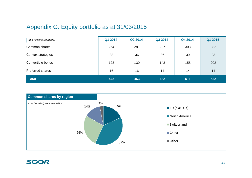#### Appendix G: Equity portfolio as at 31/03/2015

| In $\epsilon$ millions (rounded) | Q1 2014 | Q2 2014 | Q3 2014 | Q4 2014 | Q1 2015 |
|----------------------------------|---------|---------|---------|---------|---------|
| Common shares                    | 264     | 281     | 287     | 303     | 382     |
| Convex strategies                | 38      | 36      | 36      | 39      | 23      |
| Convertible bonds                | 123     | 130     | 143     | 155     | 202     |
| Preferred shares                 | 16      | 16      | 14      | 14      | 14      |
| <b>Total</b>                     | 442     | 463     | 482     | 511     | 622     |

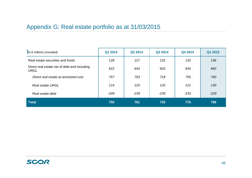# Appendix G: Real estate portfolio as at 31/03/2015

| In $\epsilon$ millions (rounded)                            | Q1 2014 | Q2 2014 | Q3 2014 | Q4 2014 | Q1 2015 |
|-------------------------------------------------------------|---------|---------|---------|---------|---------|
| Real estate securities and funds                            | 128     | 127     | 132     | 133     | 136     |
| Direct real estate net of debt and including<br><b>URGL</b> | 622     | 634     | 603     | 643     | 660     |
| Direct real estate at amortized cost                        | 757     | 753     | 718     | 755     | 760     |
| <b>Real estate URGL</b>                                     | 114     | 120     | 120     | 121     | 130     |
| Real estate debt                                            | $-249$  | $-239$  | $-235$  | $-233$  | $-229$  |
| Total                                                       | 750     | 761     | 735     | 776     | 796     |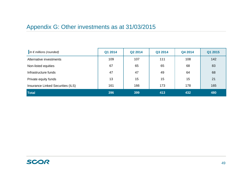# Appendix G: Other investments as at 31/03/2015

| In $\epsilon$ millions (rounded)  | Q1 2014 | Q2 2014 | Q3 2014 | Q4 2014 | Q1 2015 |
|-----------------------------------|---------|---------|---------|---------|---------|
| Alternative investments           | 109     | 107     | 111     | 108     | 142     |
| Non-listed equities               | 67      | 65      | 65      | 68      | 83      |
| Infrastructure funds              | 47      | 47      | 49      | 64      | 68      |
| Private equity funds              | 13      | 15      | 15      | 15      | 21      |
| Insurance Linked Securities (ILS) | 161     | 166     | 173     | 178     | 165     |
| <b>Total</b>                      | 396     | 399     | 413     | 432     | 480     |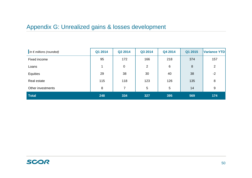# Appendix G: Unrealized gains & losses development

| In $\epsilon$ millions (rounded) | Q1 2014 | Q2 2014        | Q3 2014        | Q4 2014 | Q1 2015 | Variance YTD |
|----------------------------------|---------|----------------|----------------|---------|---------|--------------|
| Fixed income                     | 95      | 172            | 166            | 218     | 374     | 157          |
| Loans                            |         | 0              | $\overline{2}$ | 6       | 8       | 2            |
| Equities                         | 29      | 38             | 30             | 40      | 38      | $-2$         |
| Real estate                      | 115     | 118            | 123            | 126     | 135     | 8            |
| Other investments                | 8       | $\overline{7}$ | 5              | 5       | 14      | 9            |
| <b>Total</b>                     | 248     | 334            | 327            | 395     | 569     | 174          |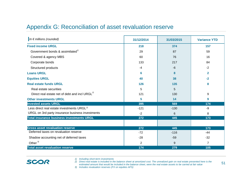#### Appendix G: Reconciliation of asset revaluation reserve

| In $\epsilon$ millions (rounded)                           | 31/12/2014     | 31/03/2015 | <b>Variance YTD</b> |
|------------------------------------------------------------|----------------|------------|---------------------|
| <b>Fixed income URGL</b>                                   | 218            | 374        | 157                 |
| Government bonds & assimilated <sup>1)</sup>               | 29             | 87         | 59                  |
| Covered & agency MBS                                       | 60             | 76         | 16                  |
| Corporate bonds                                            | 133            | 217        | 84                  |
| Structured products                                        | $-4$           | $-6$       | $-2$                |
| <b>Loans URGL</b>                                          | 6              | 8          | $\mathbf{2}$        |
| <b>Equities URGL</b>                                       | 40             | 38         | $-2$                |
| <b>Real estate funds URGL</b>                              | 126            | 135        | 8                   |
| Real estate securities                                     | 5              | 5          |                     |
| Direct real estate net of debt and incl URGL <sup>2)</sup> | 121            | 130        | 9                   |
| <b>Other investments URGL</b>                              | 5              | 14         | 9                   |
| <b>Invested assets URGL</b>                                | 395            | 569        | 174                 |
| Less direct real estate investments URGL <sup>2)</sup>     | $-121$         | $-130$     | -9                  |
| URGL on 3rd party insurance business investments           | $-2$           | 6          | 8                   |
| <b>Total insurance business investments URGL</b>           | 272            | 445        | 173                 |
|                                                            |                |            |                     |
| <b>Gross asset revaluation reserve</b>                     | 272            | 445        | 173                 |
| Deferred taxes on revaluation reserve                      | $-72$          | $-116$     | $-44$               |
| Shadow accounting net of deferred taxes                    | $-28$          | $-59$      | $-32$               |
| Other $3)$                                                 | $\overline{2}$ | 9          | $\overline{7}$      |
| <b>Total asset revaluation reserve</b>                     | 174            | 279        | 105                 |

SCOR

- *1) Including short-term investments*
- *2) Direct real estate is included in the balance sheet at amortized cost. The unrealized gain on real estate presented here is the estimated amount that would be included in the balance sheet, were the real estate assets to be carried at fair value*
- *3) Includes revaluation reserves (FX on equities AFS)*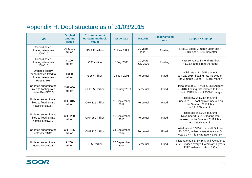# Appendix H: Debt structure as of 31/03/2015

| <b>Type</b>                                                                 | <b>Original</b><br>amount<br><b>issued</b> | <b>Current amount</b><br>outstanding (book<br>value) | <b>Issue date</b>    | <b>Maturity</b>              | <b>Floating/fixed</b><br>rate | Coupon + step-up                                                                                                           |
|-----------------------------------------------------------------------------|--------------------------------------------|------------------------------------------------------|----------------------|------------------------------|-------------------------------|----------------------------------------------------------------------------------------------------------------------------|
| Subordinated<br>floating rate notes<br>30NC10                               | <b>US \$ 100</b><br>million                | US \$ 11 million                                     | 7 June 1999          | 30 years<br>2029             | Floating                      | First 10 years: 3-month Libor rate +<br>0.80% and 1.80% thereafter                                                         |
| Subordinated<br>floating rate notes<br>20NC10                               | € 100<br>million                           | €93 million                                          | 6 July 2000          | 20 years<br><b>July 2020</b> | Floating                      | First 10 years: 3-month Euribor<br>$+1.15\%$ and 2.15% thereafter                                                          |
| Undated deeply<br>subordinated fixed to<br>floating rate notes<br>PerpNC101 | € 350<br>million                           | € 257 million                                        | 28 July 2006         | Perpetual                    | Fixed                         | Initial rate at 6.154% p.a. until<br>July 28, 2016, floating rate indexed on<br>the 3-month Euribor + 2.90% margin         |
| Undated subordinated<br>fixed to floating rate<br>notes PerpNC5.5           | <b>CHF 650</b><br>million                  | CHF 650 million                                      | 2 February 2011      | Perpetual                    | Fixed                         | Initial rate at 5.375% p.a. until August<br>2, 2016, floating rate indexed to the 3-<br>month CHF Libor + 3.7359% margin   |
| Undated subordinated<br>fixed to floating rate<br>notes PerpNC5.7           | <b>CHF 315</b><br>million                  | CHF 315 million                                      | 10 September<br>2012 | Perpetual                    | Fixed                         | Initial rate at 5.25% p.a. until<br>June 8, 2018, floating rate indexed on<br>the 3-month CHF Libor<br>+4.8167% margin     |
| Undated subordinated<br>fixed to floating rate<br>notes PerpNC5.2           | <b>CHF 250</b><br>million                  | CHF 250 million                                      | 10 September<br>2013 | Perpetual                    | Fixed                         | Initial rate at 5.00% p.a. until<br>November 30 2018, floating rate<br>indexed on the 3-month CHF Libor<br>+4.0992% margin |
| Undated subordinated<br>notes PerpNC6                                       | <b>CHF 125</b><br>million                  | CHF 125 million                                      | 24 September<br>2014 | Perpetual                    | Fixed                         | Initial rate at 3.375% p.a. until October<br>20, 2020, revised every 6 years at 6-<br>years CHF mid-swap rate + 3.0275%    |
| Undated subordinated<br>notes PerpNC11                                      | € 250<br>million                           | € 250 million                                        | 25 September<br>2014 | Perpetual                    | Fixed                         | Initial rate at 3.875% p.a. until October 1,<br>2025, revised every 11 years at 11-years<br>EUR mid-swap rate + 2.7%       |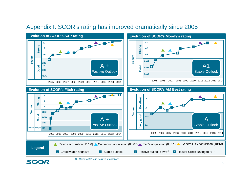

#### Appendix I: SCOR's rating has improved dramatically since 2005

SCOR

*1) Credit watch with positive implications*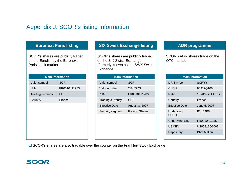#### Appendix J: SCOR's listing information

SCOR's shares are publicly traded on the Eurolist by the Euronext Paris stock market

| <b>Main information</b> |              |
|-------------------------|--------------|
| Valor symbol            | <b>SCR</b>   |
| <b>ISIN</b>             | FR0010411983 |
| <b>Trading currency</b> | <b>EUR</b>   |
| Country                 | France       |
|                         |              |
|                         |              |
|                         |              |
|                         |              |
|                         |              |
|                         |              |

#### **Euronext Paris listing SIX Swiss Exchange listing ADR programme**

SCOR's shares are publicly traded on the SIX Swiss Exchange (formerly known as the SWX Swiss Exchange)

| <b>Main information</b> |  |  |  |  |
|-------------------------|--|--|--|--|
| <b>SCR</b>              |  |  |  |  |
| 2'844'943               |  |  |  |  |
| FR0010411983            |  |  |  |  |
| CHF                     |  |  |  |  |
| August 8, 2007          |  |  |  |  |
| <b>Foreign Shares</b>   |  |  |  |  |
|                         |  |  |  |  |

SCOR's ADR shares trade on the OTC market

| <b>Main information</b>    |                   |  |  |  |
|----------------------------|-------------------|--|--|--|
| DR Symbol                  | <b>SCRYY</b>      |  |  |  |
| <b>CUSIP</b>               | 80917Q106         |  |  |  |
| Ratio                      | 10 ADRs: 1 ORD    |  |  |  |
| Country                    | France            |  |  |  |
| <b>Effective Date</b>      | June 5, 2007      |  |  |  |
| Underlying<br><b>SEDOL</b> | B1LB9P6           |  |  |  |
| <b>Underlying ISIN</b>     | FR0010411983      |  |  |  |
| US ISIN                    | US80917Q1067      |  |  |  |
| Depositary                 | <b>BNY Mellon</b> |  |  |  |

**□** SCOR's shares are also tradable over the counter on the Frankfurt Stock Exchange